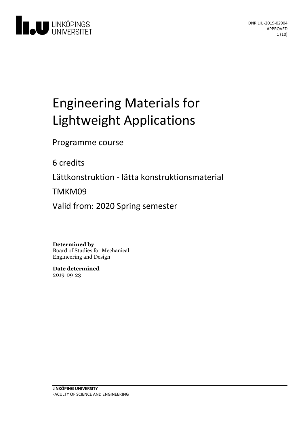

# Engineering Materials for Lightweight Applications

Programme course

6 credits

Lättkonstruktion - lätta konstruktionsmaterial

TMKM09

Valid from: 2020 Spring semester

**Determined by**

Board of Studies for Mechanical Engineering and Design

**Date determined** 2019-09-23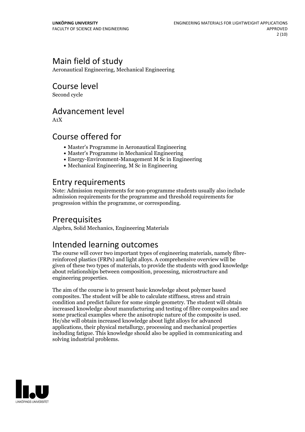# Main field of study

Aeronautical Engineering, Mechanical Engineering

Course level

Second cycle

### Advancement level

A1X

### Course offered for

- Master's Programme in Aeronautical Engineering
- Master's Programme in Mechanical Engineering
- Energy-Environment-Management M Sc in Engineering
- Mechanical Engineering, M Sc in Engineering

### Entry requirements

Note: Admission requirements for non-programme students usually also include admission requirements for the programme and threshold requirements for progression within the programme, or corresponding.

# Prerequisites

Algebra, Solid Mechanics, Engineering Materials

# Intended learning outcomes

The course will cover two important types of engineering materials, namely fibre- reinforced plastics (FRPs) and light alloys. <sup>A</sup> comprehensive overview will be given of these two types of materials, to provide the students with good knowledge about relationships between composition, processing, microstructure and engineering properties.

The aim of the course is to present basic knowledge about polymer based composites. The student will be able to calculate stiffness, stress and strain condition and predict failure for some simple geometry. The student will obtain increased knowledge about manufacturing and testing of fibre composites and see some practical examples where the anisotropic nature of the composite is used. He/she will obtain increased knowledge about light alloys for advanced applications, their physical metallurgy, processing and mechanical properties including fatigue. This knowledge should also be applied in communicating and solving industrial problems.

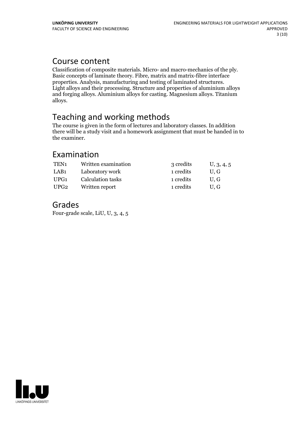### Course content

Classification of composite materials. Micro- and macro-mechanics of the ply. Basic concepts of laminate theory. Fibre, matrix and matrix-fibre interface Light alloys and their processing. Structure and properties of aluminium alloys and forging alloys. Aluminium alloys for casting. Magnesium alloys. Titanium alloys.

# Teaching and working methods

The course is given in the form of lectures and laboratory classes. In addition there will be a study visit and a homework assignment that must be handed in to the examiner.

### Examination

| TEN <sub>1</sub> | Written examination | 3 credits | U, 3, 4, 5 |
|------------------|---------------------|-----------|------------|
| LAB <sub>1</sub> | Laboratory work     | 1 credits | U.G        |
| UPG1             | Calculation tasks   | 1 credits | U.G        |
| UPG2             | Written report      | 1 credits | U.G        |

### Grades

Four-grade scale, LiU, U, 3, 4, 5

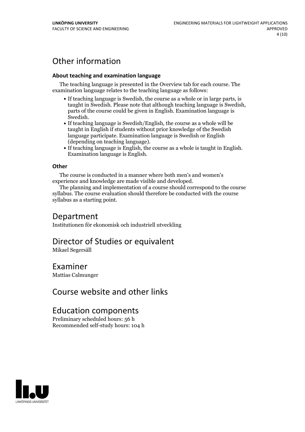# Other information

#### **About teaching and examination language**

The teaching language is presented in the Overview tab for each course. The examination language relates to the teaching language as follows:

- If teaching language is Swedish, the course as a whole or in large parts, is taught in Swedish. Please note that although teaching language is Swedish, parts of the course could be given in English. Examination language is
- Swedish.<br>• If teaching language is Swedish/English, the course as a whole will be taught in English if students without prior knowledge of the Swedish language participate. Examination language is Swedish or English
- (depending on teaching language).<br>
 If teaching language is English, the course as a whole is taught in English.<br>
Examination language is English.

#### **Other**

The course is conducted in a manner where both men's and women's

experience and knowledge are made visible and developed. The planning and implementation of <sup>a</sup> course should correspond to the course syllabus. The course evaluation should therefore be conducted with the course syllabus as a starting point.

### Department

Institutionen för ekonomisk och industriell utveckling

# Director of Studies or equivalent

Mikael Segersäll

### Examiner

Mattias Calmunger

### Course website and other links

### Education components

Preliminary scheduled hours: 56 h Recommended self-study hours: 104 h

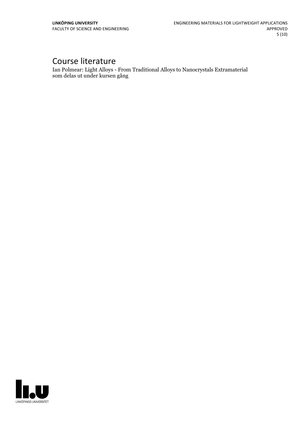# Course literature

Ian Polmear: Light Alloys - From Traditional Alloys to Nanocrystals Extramaterial som delas ut under kursen gång

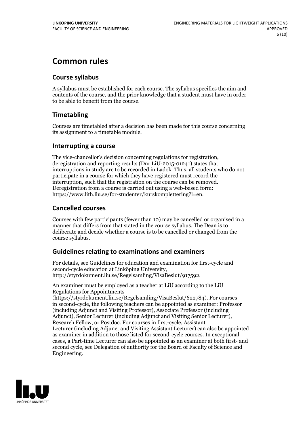# **Common rules**

#### **Course syllabus**

A syllabus must be established for each course. The syllabus specifies the aim and contents of the course, and the prior knowledge that a student must have in order to be able to benefit from the course.

#### **Timetabling**

Courses are timetabled after a decision has been made for this course concerning its assignment to a timetable module.

#### **Interrupting a course**

The vice-chancellor's decision concerning regulations for registration, deregistration and reporting results (Dnr LiU-2015-01241) states that interruptions in study are to be recorded in Ladok. Thus, all students who do not participate in a course for which they have registered must record the interruption, such that the registration on the course can be removed. Deregistration from <sup>a</sup> course is carried outusing <sup>a</sup> web-based form: https://www.lith.liu.se/for-studenter/kurskomplettering?l=en.

#### **Cancelled courses**

Courses with few participants (fewer than 10) may be cancelled or organised in a manner that differs from that stated in the course syllabus. The Dean is to deliberate and decide whether a course is to be cancelled or changed from the course syllabus.

#### **Guidelines relatingto examinations and examiners**

For details, see Guidelines for education and examination for first-cycle and second-cycle education at Linköping University, http://styrdokument.liu.se/Regelsamling/VisaBeslut/917592.

An examiner must be employed as a teacher at LiU according to the LiU Regulations for Appointments

(https://styrdokument.liu.se/Regelsamling/VisaBeslut/622784). For courses in second-cycle, the following teachers can be appointed as examiner: Professor (including Adjunct and Visiting Professor), Associate Professor (including Adjunct), Senior Lecturer (including Adjunct and Visiting Senior Lecturer), Research Fellow, or Postdoc. For courses in first-cycle, Assistant Lecturer (including Adjunct and Visiting Assistant Lecturer) can also be appointed as examiner in addition to those listed for second-cycle courses. In exceptional cases, a Part-time Lecturer can also be appointed as an examiner at both first- and second cycle, see Delegation of authority for the Board of Faculty of Science and Engineering.

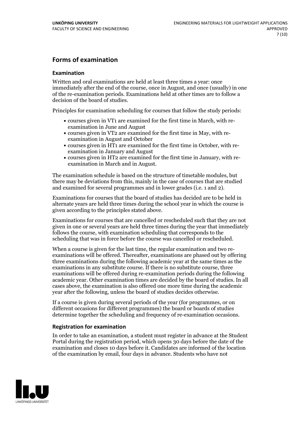#### **Forms of examination**

#### **Examination**

Written and oral examinations are held at least three times a year: once immediately after the end of the course, once in August, and once (usually) in one of the re-examination periods. Examinations held at other times are to follow a decision of the board of studies.

Principles for examination scheduling for courses that follow the study periods:

- courses given in VT1 are examined for the first time in March, with re-examination in June and August
- courses given in VT2 are examined for the first time in May, with re-examination in August and October
- courses given in HT1 are examined for the first time in October, with re-examination in January and August
- courses given in HT2 are examined for the first time in January, with re-examination in March and in August.

The examination schedule is based on the structure of timetable modules, but there may be deviations from this, mainly in the case of courses that are studied and examined for several programmes and in lower grades (i.e. 1 and 2).

Examinations for courses that the board of studies has decided are to be held in alternate years are held three times during the school year in which the course is given according to the principles stated above.

Examinations for courses that are cancelled orrescheduled such that they are not given in one or several years are held three times during the year that immediately follows the course, with examination scheduling that corresponds to the scheduling that was in force before the course was cancelled or rescheduled.

When a course is given for the last time, the regular examination and two re-<br>examinations will be offered. Thereafter, examinations are phased out by offering three examinations during the following academic year at the same times as the examinations in any substitute course. If there is no substitute course, three examinations will be offered during re-examination periods during the following academic year. Other examination times are decided by the board of studies. In all cases above, the examination is also offered one more time during the academic year after the following, unless the board of studies decides otherwise.

If a course is given during several periods of the year (for programmes, or on different occasions for different programmes) the board or boards of studies determine together the scheduling and frequency of re-examination occasions.

#### **Registration for examination**

In order to take an examination, a student must register in advance at the Student Portal during the registration period, which opens 30 days before the date of the examination and closes 10 days before it. Candidates are informed of the location of the examination by email, four days in advance. Students who have not

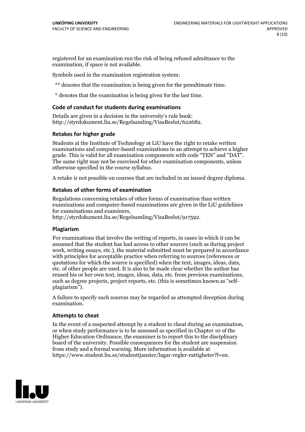registered for an examination run the risk of being refused admittance to the examination, if space is not available.

Symbols used in the examination registration system:

\*\* denotes that the examination is being given for the penultimate time.

\* denotes that the examination is being given for the last time.

#### **Code of conduct for students during examinations**

Details are given in a decision in the university's rule book: http://styrdokument.liu.se/Regelsamling/VisaBeslut/622682.

#### **Retakes for higher grade**

Students at the Institute of Technology at LiU have the right to retake written examinations and computer-based examinations in an attempt to achieve a higher grade. This is valid for all examination components with code "TEN" and "DAT". The same right may not be exercised for other examination components, unless otherwise specified in the course syllabus.

A retake is not possible on courses that are included in an issued degree diploma.

#### **Retakes of other forms of examination**

Regulations concerning retakes of other forms of examination than written examinations and computer-based examinations are given in the LiU guidelines

http://styrdokument.liu.se/Regelsamling/VisaBeslut/917592.

#### **Plagiarism**

For examinations that involve the writing of reports, in cases in which it can be assumed that the student has had access to other sources (such as during project work, writing essays, etc.), the material submitted must be prepared in accordance with principles for acceptable practice when referring to sources (references or quotations for which the source is specified) when the text, images, ideas, data,  $\vec{e}$  etc. of other people are used. It is also to be made clear whether the author has reused his or her own text, images, ideas, data, etc. from previous examinations, such as degree projects, project reports, etc. (this is sometimes known as "self- plagiarism").

A failure to specify such sources may be regarded as attempted deception during examination.

#### **Attempts to cheat**

In the event of <sup>a</sup> suspected attempt by <sup>a</sup> student to cheat during an examination, or when study performance is to be assessed as specified in Chapter <sup>10</sup> of the Higher Education Ordinance, the examiner is to report this to the disciplinary board of the university. Possible consequences for the student are suspension from study and a formal warning. More information is available at https://www.student.liu.se/studenttjanster/lagar-regler-rattigheter?l=en.

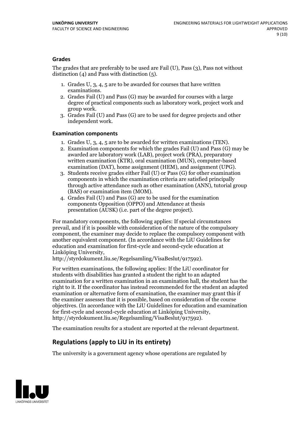#### **Grades**

The grades that are preferably to be used are Fail (U), Pass (3), Pass not without distinction  $(4)$  and Pass with distinction  $(5)$ .

- 1. Grades U, 3, 4, 5 are to be awarded for courses that have written
- examinations. 2. Grades Fail (U) and Pass (G) may be awarded for courses with <sup>a</sup> large degree of practical components such as laboratory work, project work and group work. 3. Grades Fail (U) and Pass (G) are to be used for degree projects and other
- independent work.

#### **Examination components**

- 
- 1. Grades U, 3, 4, <sup>5</sup> are to be awarded for written examinations (TEN). 2. Examination components for which the grades Fail (U) and Pass (G) may be awarded are laboratory work (LAB), project work (PRA), preparatory written examination (KTR), oral examination (MUN), computer-based
- examination (DAT), home assignment (HEM), and assignment (UPG). 3. Students receive grades either Fail (U) or Pass (G) for other examination components in which the examination criteria are satisfied principally through active attendance such as other examination (ANN), tutorial group
- (BAS) or examination item (MOM). 4. Grades Fail (U) and Pass (G) are to be used for the examination components Opposition (OPPO) and Attendance at thesis presentation (AUSK) (i.e. part of the degree project).

For mandatory components, the following applies: If special circumstances prevail, and if it is possible with consideration of the nature of the compulsory component, the examiner may decide to replace the compulsory component with another equivalent component. (In accordance with the LiU Guidelines for education and examination for first-cycle and second-cycle education at Linköping University, http://styrdokument.liu.se/Regelsamling/VisaBeslut/917592).

For written examinations, the following applies: If the LiU coordinator for students with disabilities has granted a student the right to an adapted examination for a written examination in an examination hall, the student has the right to it. If the coordinator has instead recommended for the student an adapted examination or alternative form of examination, the examiner may grant this if the examiner assesses that it is possible, based on consideration of the course objectives. (In accordance with the LiU Guidelines for education and examination for first-cycle and second-cycle education at Linköping University, http://styrdokument.liu.se/Regelsamling/VisaBeslut/917592).

The examination results for a student are reported at the relevant department.

### **Regulations (applyto LiU in its entirety)**

The university is a government agency whose operations are regulated by